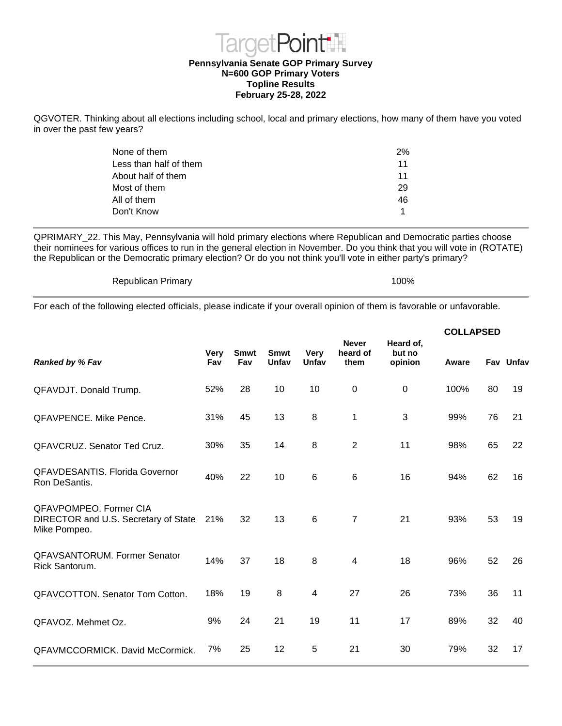

## **Topline Results February 25-28, 2022**

QGVOTER. Thinking about all elections including school, local and primary elections, how many of them have you voted in over the past few years?

| None of them           | 2% |
|------------------------|----|
|                        |    |
| Less than half of them | 11 |
| About half of them     | 11 |
| Most of them           | 29 |
| All of them            | 46 |
| Don't Know             | 1  |
|                        |    |

QPRIMARY\_22. This May, Pennsylvania will hold primary elections where Republican and Democratic parties choose their nominees for various offices to run in the general election in November. Do you think that you will vote in (ROTATE) the Republican or the Democratic primary election? Or do you not think you'll vote in either party's primary?

Republican Primary 100%

For each of the following elected officials, please indicate if your overall opinion of them is favorable or unfavorable.

| <b>Very</b><br>Fav | <b>Smwt</b><br>Fav | <b>Smwt</b><br>Unfav | <b>Very</b><br>Unfav    | heard of<br>them | but no<br>opinion | Aware     |    | Fav Unfav        |
|--------------------|--------------------|----------------------|-------------------------|------------------|-------------------|-----------|----|------------------|
| 52%                | 28                 | 10                   | 10                      | $\mathbf 0$      | 0                 | 100%      | 80 | 19               |
| 31%                | 45                 | 13                   | $\, 8$                  | 1                | 3                 | 99%       | 76 | 21               |
| 30%                | 35                 | 14                   | $\, 8$                  | $\overline{2}$   | 11                | 98%       | 65 | 22               |
| 40%                | 22                 | 10                   | $\,6$                   | $\,6$            | 16                | 94%       | 62 | 16               |
| 21%                | 32                 | 13                   | $\,6$                   | $\overline{7}$   | 21                | 93%       | 53 | 19               |
| 14%                | 37                 | 18                   | 8                       | 4                | 18                | 96%       | 52 | 26               |
| 18%                | 19                 | 8                    | $\overline{\mathbf{4}}$ | 27               | 26                | 73%       | 36 | 11               |
| 9%                 | 24                 | 21                   | 19                      | 11               | 17                | 89%       | 32 | 40               |
| 7%                 | 25                 | 12                   | 5                       | 21               | 30                | 79%       | 32 | 17               |
|                    |                    |                      |                         |                  | <b>Never</b>      | Heard of, |    | <b>COLLAPSED</b> |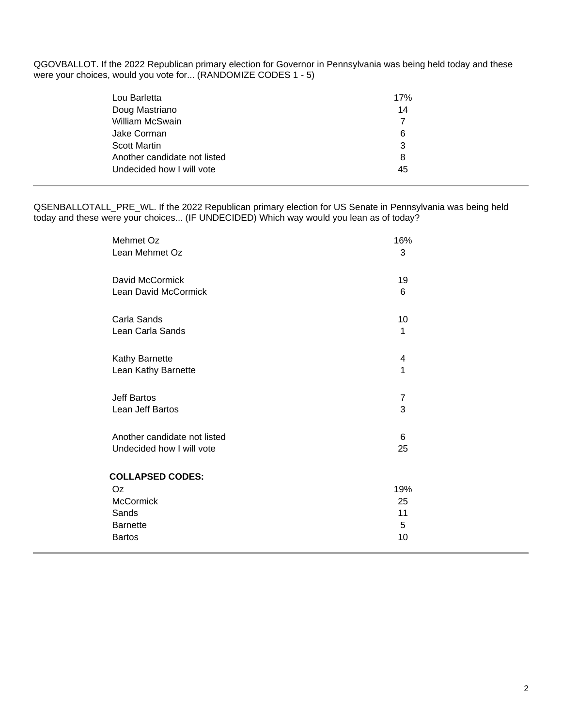QGOVBALLOT. If the 2022 Republican primary election for Governor in Pennsylvania was being held today and these were your choices, would you vote for... (RANDOMIZE CODES 1 - 5)

| Lou Barletta                 | 17% |
|------------------------------|-----|
| Doug Mastriano               | 14  |
| William McSwain              |     |
| Jake Corman                  | 6   |
| <b>Scott Martin</b>          | 3   |
| Another candidate not listed | 8   |
| Undecided how I will vote    | 45  |

QSENBALLOTALL\_PRE\_WL. If the 2022 Republican primary election for US Senate in Pennsylvania was being held today and these were your choices... (IF UNDECIDED) Which way would you lean as of today?

| Mehmet Oz                                                                                      | 16%                        |
|------------------------------------------------------------------------------------------------|----------------------------|
| Lean Mehmet Oz                                                                                 | 3                          |
| David McCormick                                                                                | 19                         |
| Lean David McCormick                                                                           | 6                          |
| Carla Sands                                                                                    | 10                         |
| Lean Carla Sands                                                                               | 1                          |
| Kathy Barnette                                                                                 | 4                          |
| Lean Kathy Barnette                                                                            | 1                          |
| Jeff Bartos                                                                                    | 7                          |
| Lean Jeff Bartos                                                                               | 3                          |
| Another candidate not listed                                                                   | 6                          |
| Undecided how I will vote                                                                      | 25                         |
| <b>COLLAPSED CODES:</b><br>Oz<br><b>McCormick</b><br>Sands<br><b>Barnette</b><br><b>Bartos</b> | 19%<br>25<br>11<br>5<br>10 |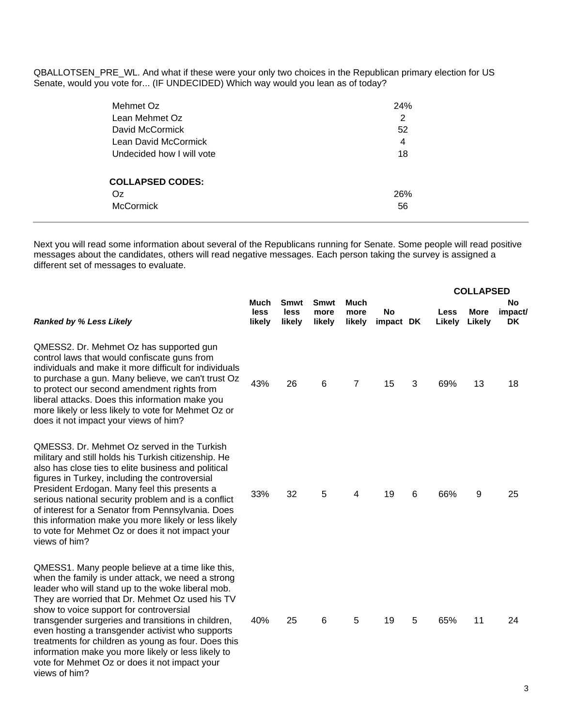QBALLOTSEN\_PRE\_WL. And what if these were your only two choices in the Republican primary election for US Senate, would you vote for... (IF UNDECIDED) Which way would you lean as of today?

| Mehmet Oz                 | <b>24%</b> |
|---------------------------|------------|
| Lean Mehmet Oz            | 2          |
| David McCormick           | 52         |
| Lean David McCormick      | 4          |
| Undecided how I will vote | 18         |
|                           |            |
| <b>COLLAPSED CODES:</b>   |            |
| Oz                        | 26%        |
| <b>McCormick</b>          | 56         |
|                           |            |

Next you will read some information about several of the Republicans running for Senate. Some people will read positive messages about the candidates, others will read negative messages. Each person taking the survey is assigned a different set of messages to evaluate.

|                                                                                                                                                                                                                                                                                                                                                                                                                                                                                                                                                   |                        |                               |                               |                               |                 |   |                | <b>COLLAPSED</b>      |                     |
|---------------------------------------------------------------------------------------------------------------------------------------------------------------------------------------------------------------------------------------------------------------------------------------------------------------------------------------------------------------------------------------------------------------------------------------------------------------------------------------------------------------------------------------------------|------------------------|-------------------------------|-------------------------------|-------------------------------|-----------------|---|----------------|-----------------------|---------------------|
| <b>Ranked by % Less Likely</b>                                                                                                                                                                                                                                                                                                                                                                                                                                                                                                                    | Much<br>less<br>likely | <b>Smwt</b><br>less<br>likely | <b>Smwt</b><br>more<br>likely | <b>Much</b><br>more<br>likely | No<br>impact DK |   | Less<br>Likely | <b>More</b><br>Likely | No<br>impact/<br>DK |
| QMESS2. Dr. Mehmet Oz has supported gun<br>control laws that would confiscate guns from<br>individuals and make it more difficult for individuals<br>to purchase a gun. Many believe, we can't trust Oz<br>to protect our second amendment rights from<br>liberal attacks. Does this information make you<br>more likely or less likely to vote for Mehmet Oz or<br>does it not impact your views of him?                                                                                                                                         | 43%                    | 26                            | 6                             | 7                             | 15              | 3 | 69%            | 13                    | 18                  |
| QMESS3. Dr. Mehmet Oz served in the Turkish<br>military and still holds his Turkish citizenship. He<br>also has close ties to elite business and political<br>figures in Turkey, including the controversial<br>President Erdogan. Many feel this presents a<br>serious national security problem and is a conflict<br>of interest for a Senator from Pennsylvania. Does<br>this information make you more likely or less likely<br>to vote for Mehmet Oz or does it not impact your<br>views of him?                                             | 33%                    | 32                            | 5                             | 4                             | 19              | 6 | 66%            | 9                     | 25                  |
| QMESS1. Many people believe at a time like this,<br>when the family is under attack, we need a strong<br>leader who will stand up to the woke liberal mob.<br>They are worried that Dr. Mehmet Oz used his TV<br>show to voice support for controversial<br>transgender surgeries and transitions in children,<br>even hosting a transgender activist who supports<br>treatments for children as young as four. Does this<br>information make you more likely or less likely to<br>vote for Mehmet Oz or does it not impact your<br>views of him? | 40%                    | 25                            | 6                             | 5                             | 19              | 5 | 65%            | 11                    | 24                  |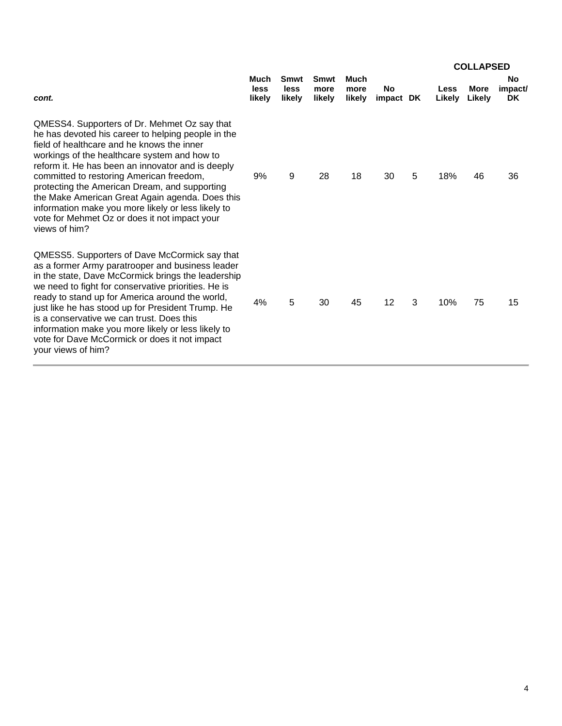|                                                                                                                                                                                                                                                                                                                                                                                                                                                                                                                               |                        |                        |                        |                               |                        |   |                | <b>COLLAPSED</b>      |                                   |
|-------------------------------------------------------------------------------------------------------------------------------------------------------------------------------------------------------------------------------------------------------------------------------------------------------------------------------------------------------------------------------------------------------------------------------------------------------------------------------------------------------------------------------|------------------------|------------------------|------------------------|-------------------------------|------------------------|---|----------------|-----------------------|-----------------------------------|
| cont.                                                                                                                                                                                                                                                                                                                                                                                                                                                                                                                         | Much<br>less<br>likely | Smwt<br>less<br>likely | Smwt<br>more<br>likely | <b>Much</b><br>more<br>likely | <b>No</b><br>impact DK |   | Less<br>Likely | <b>More</b><br>Likely | <b>No</b><br>impact/<br><b>DK</b> |
| QMESS4. Supporters of Dr. Mehmet Oz say that<br>he has devoted his career to helping people in the<br>field of healthcare and he knows the inner<br>workings of the healthcare system and how to<br>reform it. He has been an innovator and is deeply<br>committed to restoring American freedom,<br>protecting the American Dream, and supporting<br>the Make American Great Again agenda. Does this<br>information make you more likely or less likely to<br>vote for Mehmet Oz or does it not impact your<br>views of him? | 9%                     | 9                      | 28                     | 18                            | 30                     | 5 | 18%            | 46                    | 36                                |
| QMESS5. Supporters of Dave McCormick say that<br>as a former Army paratrooper and business leader<br>in the state, Dave McCormick brings the leadership<br>we need to fight for conservative priorities. He is<br>ready to stand up for America around the world,<br>just like he has stood up for President Trump. He<br>is a conservative we can trust. Does this<br>information make you more likely or less likely to<br>vote for Dave McCormick or does it not impact<br>your views of him?                              | 4%                     | 5                      | 30                     | 45                            | 12                     | 3 | 10%            | 75                    | 15                                |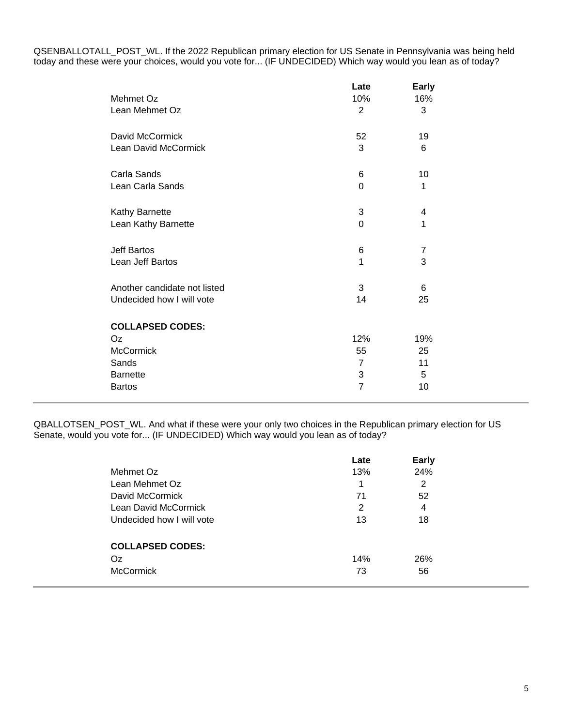QSENBALLOTALL\_POST\_WL. If the 2022 Republican primary election for US Senate in Pennsylvania was being held today and these were your choices, would you vote for... (IF UNDECIDED) Which way would you lean as of today?

| Mehmet Oz<br>Lean Mehmet Oz                                                                    | Late<br>10%<br>2                                   | <b>Early</b><br>16%<br>3   |
|------------------------------------------------------------------------------------------------|----------------------------------------------------|----------------------------|
| David McCormick                                                                                | 52                                                 | 19                         |
| Lean David McCormick                                                                           | 3                                                  | 6                          |
| Carla Sands                                                                                    | 6                                                  | 10                         |
| Lean Carla Sands                                                                               | $\Omega$                                           | 1                          |
| Kathy Barnette                                                                                 | 3                                                  | 4                          |
| Lean Kathy Barnette                                                                            | 0                                                  | 1                          |
| Jeff Bartos                                                                                    | 6                                                  | $\boldsymbol{7}$           |
| Lean Jeff Bartos                                                                               | 1                                                  | 3                          |
| Another candidate not listed                                                                   | 3                                                  | 6                          |
| Undecided how I will vote                                                                      | 14                                                 | 25                         |
| <b>COLLAPSED CODES:</b><br>Oz<br><b>McCormick</b><br>Sands<br><b>Barnette</b><br><b>Bartos</b> | 12%<br>55<br>$\overline{7}$<br>3<br>$\overline{7}$ | 19%<br>25<br>11<br>5<br>10 |

QBALLOTSEN\_POST\_WL. And what if these were your only two choices in the Republican primary election for US Senate, would you vote for... (IF UNDECIDED) Which way would you lean as of today?

|                           | Late | <b>Early</b> |  |
|---------------------------|------|--------------|--|
| Mehmet Oz                 | 13%  | 24%          |  |
| Lean Mehmet Oz            | 1    | 2            |  |
| David McCormick           | 71   | 52           |  |
| Lean David McCormick      | 2    | 4            |  |
| Undecided how I will vote | 13   | 18           |  |
| <b>COLLAPSED CODES:</b>   |      |              |  |
| Oz                        | 14%  | 26%          |  |
| <b>McCormick</b>          | 73   | 56           |  |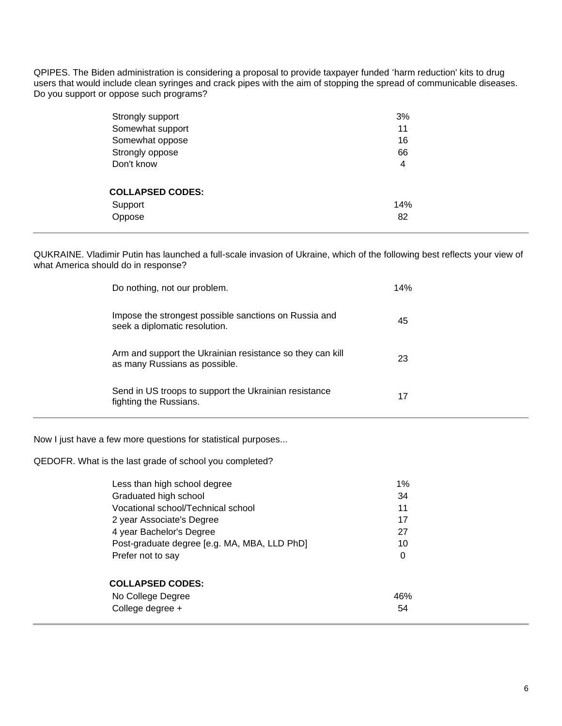QPIPES. The Biden administration is considering a proposal to provide taxpayer funded 'harm reduction' kits to drug users that would include clean syringes and crack pipes with the aim of stopping the spread of communicable diseases. Do you support or oppose such programs?

| Strongly support        | 3%  |
|-------------------------|-----|
| Somewhat support        | 11  |
| Somewhat oppose         | 16  |
| Strongly oppose         | 66  |
| Don't know              | 4   |
|                         |     |
| <b>COLLAPSED CODES:</b> |     |
| Support                 | 14% |
| Oppose                  | 82  |
|                         |     |

QUKRAINE. Vladimir Putin has launched a full-scale invasion of Ukraine, which of the following best reflects your view of what America should do in response?

| Do nothing, not our problem.                                                               | 14% |
|--------------------------------------------------------------------------------------------|-----|
| Impose the strongest possible sanctions on Russia and<br>seek a diplomatic resolution.     | 45  |
| Arm and support the Ukrainian resistance so they can kill<br>as many Russians as possible. | 23  |
| Send in US troops to support the Ukrainian resistance<br>fighting the Russians.            | 17  |
| Now I just have a few more questions for statistical purposes                              |     |

QEDOFR. What is the last grade of school you completed?

| Less than high school degree                 | 1%  |
|----------------------------------------------|-----|
| Graduated high school                        | 34  |
| Vocational school/Technical school           | 11  |
| 2 year Associate's Degree                    | 17  |
| 4 year Bachelor's Degree                     | 27  |
| Post-graduate degree [e.g. MA, MBA, LLD PhD] | 10  |
| Prefer not to say                            | 0   |
|                                              |     |
| <b>COLLAPSED CODES:</b>                      |     |
| No College Degree                            | 46% |
| College degree +                             | 54  |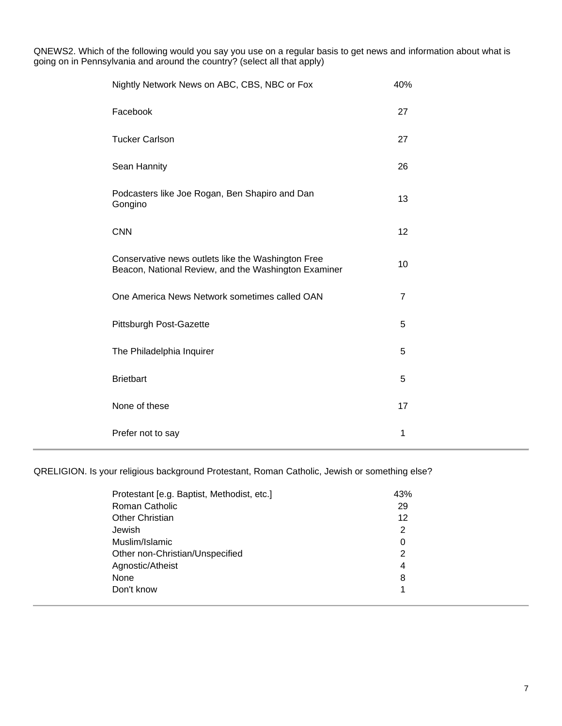QNEWS2. Which of the following would you say you use on a regular basis to get news and information about what is going on in Pennsylvania and around the country? (select all that apply)

| Nightly Network News on ABC, CBS, NBC or Fox                                                               | 40%            |
|------------------------------------------------------------------------------------------------------------|----------------|
| Facebook                                                                                                   | 27             |
| <b>Tucker Carlson</b>                                                                                      | 27             |
| Sean Hannity                                                                                               | 26             |
| Podcasters like Joe Rogan, Ben Shapiro and Dan<br>Gongino                                                  | 13             |
| <b>CNN</b>                                                                                                 | 12             |
| Conservative news outlets like the Washington Free<br>Beacon, National Review, and the Washington Examiner | 10             |
| One America News Network sometimes called OAN                                                              | $\overline{7}$ |
| Pittsburgh Post-Gazette                                                                                    | 5              |
| The Philadelphia Inquirer                                                                                  | 5              |
| <b>Brietbart</b>                                                                                           | 5              |
| None of these                                                                                              | 17             |
| Prefer not to say                                                                                          | 1              |

QRELIGION. Is your religious background Protestant, Roman Catholic, Jewish or something else?

| Protestant [e.g. Baptist, Methodist, etc.] | 43% |
|--------------------------------------------|-----|
| Roman Catholic                             | 29  |
| <b>Other Christian</b>                     | 12  |
| Jewish                                     | 2   |
| Muslim/Islamic                             | 0   |
| Other non-Christian/Unspecified            | 2   |
| Agnostic/Atheist                           | 4   |
| None                                       | 8   |
| Don't know                                 | 1   |
|                                            |     |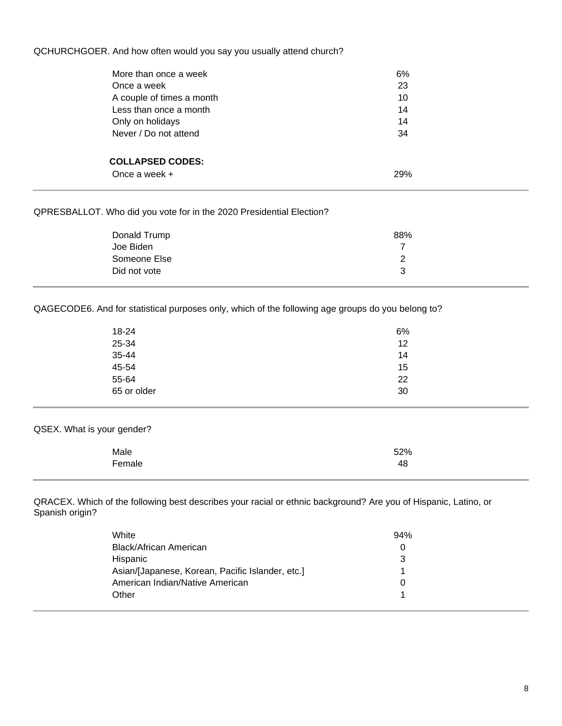QCHURCHGOER. And how often would you say you usually attend church?

| More than once a week     | 6%  |  |
|---------------------------|-----|--|
| Once a week               | 23  |  |
| A couple of times a month | 10  |  |
| Less than once a month    | 14  |  |
| Only on holidays          | 14  |  |
| Never / Do not attend     | 34  |  |
|                           |     |  |
| <b>COLLAPSED CODES:</b>   |     |  |
| Once a week $+$           | 29% |  |
|                           |     |  |

## QPRESBALLOT. Who did you vote for in the 2020 Presidential Election?

| Donald Trump | 88% |
|--------------|-----|
| Joe Biden    |     |
| Someone Else |     |
| Did not vote | ີ   |

QAGECODE6. And for statistical purposes only, which of the following age groups do you belong to?

| 18-24       | 6% |
|-------------|----|
| 25-34       | 12 |
| 35-44       | 14 |
| 45-54       | 15 |
| 55-64       | 22 |
| 65 or older | 30 |

QSEX. What is your gender?

| Male   | 52% |
|--------|-----|
| Female | 48  |

QRACEX. Which of the following best describes your racial or ethnic background? Are you of Hispanic, Latino, or Spanish origin?

| White                                            | 94% |
|--------------------------------------------------|-----|
| Black/African American                           |     |
| <b>Hispanic</b>                                  |     |
| Asian/[Japanese, Korean, Pacific Islander, etc.] |     |
| American Indian/Native American                  |     |
| Other                                            |     |